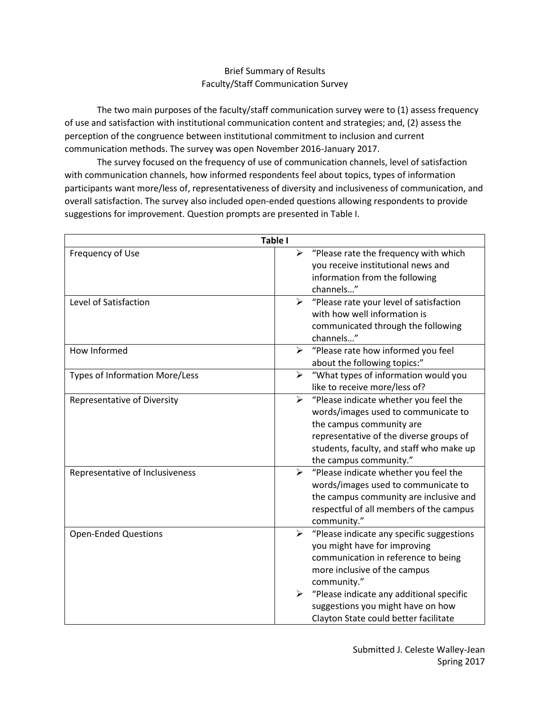# Brief Summary of Results Faculty/Staff Communication Survey

The two main purposes of the faculty/staff communication survey were to (1) assess frequency of use and satisfaction with institutional communication content and strategies; and, (2) assess the perception of the congruence between institutional commitment to inclusion and current communication methods. The survey was open November 2016-January 2017.

The survey focused on the frequency of use of communication channels, level of satisfaction with communication channels, how informed respondents feel about topics, types of information participants want more/less of, representativeness of diversity and inclusiveness of communication, and overall satisfaction. The survey also included open-ended questions allowing respondents to provide suggestions for improvement. Question prompts are presented in Table I.

| Table I                            |                                                                |  |  |
|------------------------------------|----------------------------------------------------------------|--|--|
| Frequency of Use                   | $\blacktriangleright$<br>"Please rate the frequency with which |  |  |
|                                    | you receive institutional news and                             |  |  |
|                                    | information from the following                                 |  |  |
|                                    | channels"                                                      |  |  |
| Level of Satisfaction              | "Please rate your level of satisfaction<br>⋗                   |  |  |
|                                    | with how well information is                                   |  |  |
|                                    | communicated through the following                             |  |  |
|                                    | channels"                                                      |  |  |
| How Informed                       | "Please rate how informed you feel<br>$\blacktriangleright$    |  |  |
|                                    | about the following topics:"                                   |  |  |
| Types of Information More/Less     | "What types of information would you<br>➤                      |  |  |
|                                    | like to receive more/less of?                                  |  |  |
| <b>Representative of Diversity</b> | $\blacktriangleright$<br>"Please indicate whether you feel the |  |  |
|                                    | words/images used to communicate to                            |  |  |
|                                    | the campus community are                                       |  |  |
|                                    | representative of the diverse groups of                        |  |  |
|                                    | students, faculty, and staff who make up                       |  |  |
|                                    | the campus community."                                         |  |  |
| Representative of Inclusiveness    | "Please indicate whether you feel the<br>$\blacktriangleright$ |  |  |
|                                    | words/images used to communicate to                            |  |  |
|                                    | the campus community are inclusive and                         |  |  |
|                                    | respectful of all members of the campus                        |  |  |
|                                    | community."                                                    |  |  |
| <b>Open-Ended Questions</b>        | "Please indicate any specific suggestions<br>➤                 |  |  |
|                                    | you might have for improving                                   |  |  |
|                                    | communication in reference to being                            |  |  |
|                                    | more inclusive of the campus                                   |  |  |
|                                    | community."                                                    |  |  |
|                                    | "Please indicate any additional specific<br>➤                  |  |  |
|                                    | suggestions you might have on how                              |  |  |
|                                    | Clayton State could better facilitate                          |  |  |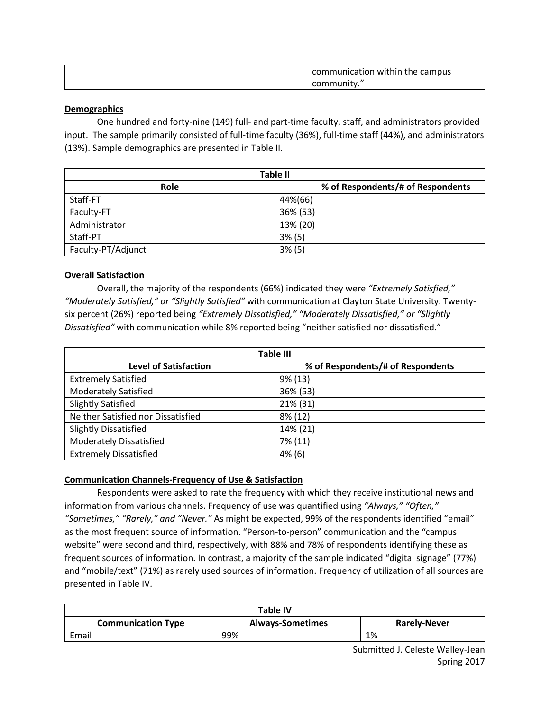| communication within the campus |
|---------------------------------|
| community."                     |

#### **Demographics**

One hundred and forty-nine (149) full- and part-time faculty, staff, and administrators provided input. The sample primarily consisted of full-time faculty (36%), full-time staff (44%), and administrators (13%). Sample demographics are presented in Table II.

| <b>Table II</b>    |                                   |  |  |
|--------------------|-----------------------------------|--|--|
| Role               | % of Respondents/# of Respondents |  |  |
| Staff-FT           | 44%(66)                           |  |  |
| Faculty-FT         | 36% (53)                          |  |  |
| Administrator      | 13% (20)                          |  |  |
| Staff-PT           | 3% (5)                            |  |  |
| Faculty-PT/Adjunct | 3% (5)                            |  |  |

## **Overall Satisfaction**

Overall, the majority of the respondents (66%) indicated they were *"Extremely Satisfied," "Moderately Satisfied," or "Slightly Satisfied"* with communication at Clayton State University. Twentysix percent (26%) reported being *"Extremely Dissatisfied," "Moderately Dissatisfied," or "Slightly Dissatisfied"* with communication while 8% reported being "neither satisfied nor dissatisfied."

| <b>Table III</b>                   |                                   |  |  |
|------------------------------------|-----------------------------------|--|--|
| <b>Level of Satisfaction</b>       | % of Respondents/# of Respondents |  |  |
| <b>Extremely Satisfied</b>         | 9% (13)                           |  |  |
| <b>Moderately Satisfied</b>        | 36% (53)                          |  |  |
| <b>Slightly Satisfied</b>          | 21% (31)                          |  |  |
| Neither Satisfied nor Dissatisfied | 8% (12)                           |  |  |
| <b>Slightly Dissatisfied</b>       | 14% (21)                          |  |  |
| <b>Moderately Dissatisfied</b>     | 7% (11)                           |  |  |
| <b>Extremely Dissatisfied</b>      | $4\%$ (6)                         |  |  |

## **Communication Channels-Frequency of Use & Satisfaction**

Respondents were asked to rate the frequency with which they receive institutional news and information from various channels. Frequency of use was quantified using *"Always," "Often," "Sometimes," "Rarely," and "Never."* As might be expected, 99% of the respondents identified "email" as the most frequent source of information. "Person-to-person" communication and the "campus website" were second and third, respectively, with 88% and 78% of respondents identifying these as frequent sources of information. In contrast, a majority of the sample indicated "digital signage" (77%) and "mobile/text" (71%) as rarely used sources of information. Frequency of utilization of all sources are presented in Table IV.

| Table IV                  |                         |                     |
|---------------------------|-------------------------|---------------------|
| <b>Communication Type</b> | <b>Always-Sometimes</b> | <b>Rarely-Never</b> |
| Email                     | 99%                     | 1%                  |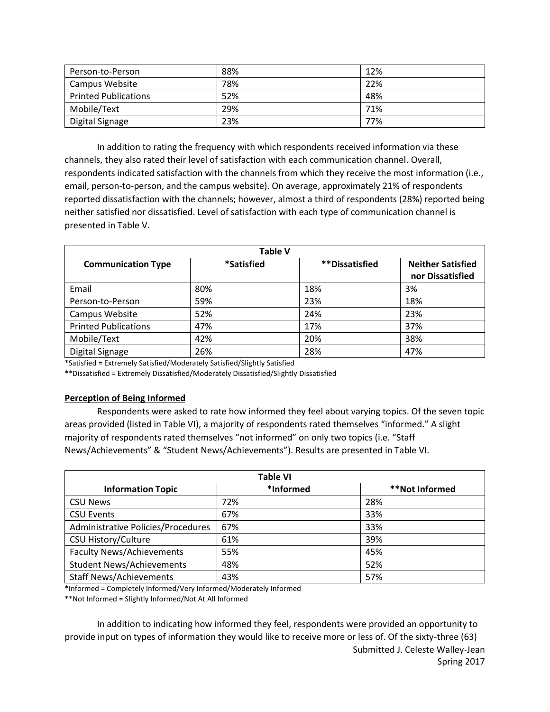| Person-to-Person            | 88% | 12% |
|-----------------------------|-----|-----|
| Campus Website              | 78% | 22% |
| <b>Printed Publications</b> | 52% | 48% |
| Mobile/Text                 | 29% | 71% |
| Digital Signage             | 23% | 77% |

In addition to rating the frequency with which respondents received information via these channels, they also rated their level of satisfaction with each communication channel. Overall, respondents indicated satisfaction with the channels from which they receive the most information (i.e., email, person-to-person, and the campus website). On average, approximately 21% of respondents reported dissatisfaction with the channels; however, almost a third of respondents (28%) reported being neither satisfied nor dissatisfied. Level of satisfaction with each type of communication channel is presented in Table V.

| <b>Table V</b>              |                   |                        |                          |
|-----------------------------|-------------------|------------------------|--------------------------|
| <b>Communication Type</b>   | <i>*Satisfied</i> | <i>**</i> Dissatisfied | <b>Neither Satisfied</b> |
|                             |                   |                        | nor Dissatisfied         |
| Email                       | 80%               | 18%                    | 3%                       |
| Person-to-Person            | 59%               | 23%                    | 18%                      |
| Campus Website              | 52%               | 24%                    | 23%                      |
| <b>Printed Publications</b> | 47%               | 17%                    | 37%                      |
| Mobile/Text                 | 42%               | 20%                    | 38%                      |
| Digital Signage             | 26%               | 28%                    | 47%                      |

\*Satisfied = Extremely Satisfied/Moderately Satisfied/Slightly Satisfied

\*\*Dissatisfied = Extremely Dissatisfied/Moderately Dissatisfied/Slightly Dissatisfied

#### **Perception of Being Informed**

Respondents were asked to rate how informed they feel about varying topics. Of the seven topic areas provided (listed in Table VI), a majority of respondents rated themselves "informed." A slight majority of respondents rated themselves "not informed" on only two topics (i.e. "Staff News/Achievements" & "Student News/Achievements"). Results are presented in Table VI.

| <b>Table VI</b>                    |           |                |  |
|------------------------------------|-----------|----------------|--|
| <b>Information Topic</b>           | *Informed | **Not Informed |  |
| <b>CSU News</b>                    | 72%       | 28%            |  |
| <b>CSU Events</b>                  | 67%       | 33%            |  |
| Administrative Policies/Procedures | 67%       | 33%            |  |
| <b>CSU History/Culture</b>         | 61%       | 39%            |  |
| <b>Faculty News/Achievements</b>   | 55%       | 45%            |  |
| <b>Student News/Achievements</b>   | 48%       | 52%            |  |
| <b>Staff News/Achievements</b>     | 43%       | 57%            |  |

\*Informed = Completely Informed/Very Informed/Moderately Informed

\*\*Not Informed = Slightly Informed/Not At All Informed

Submitted J. Celeste Walley-Jean In addition to indicating how informed they feel, respondents were provided an opportunity to provide input on types of information they would like to receive more or less of. Of the sixty-three (63)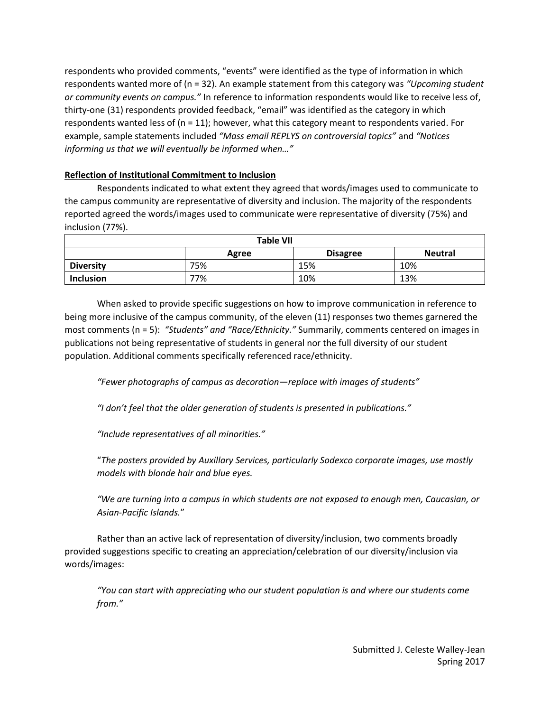respondents who provided comments, "events" were identified as the type of information in which respondents wanted more of (n = 32). An example statement from this category was *"Upcoming student or community events on campus."* In reference to information respondents would like to receive less of, thirty-one (31) respondents provided feedback, "email" was identified as the category in which respondents wanted less of  $(n = 11)$ ; however, what this category meant to respondents varied. For example, sample statements included *"Mass email REPLYS on controversial topics"* and *"Notices informing us that we will eventually be informed when…"* 

# **Reflection of Institutional Commitment to Inclusion**

Respondents indicated to what extent they agreed that words/images used to communicate to the campus community are representative of diversity and inclusion. The majority of the respondents reported agreed the words/images used to communicate were representative of diversity (75%) and inclusion (77%).

| <b>Table VII</b>                           |     |     |     |  |
|--------------------------------------------|-----|-----|-----|--|
| <b>Disagree</b><br><b>Neutral</b><br>Agree |     |     |     |  |
| <b>Diversity</b>                           | 75% | 15% | 10% |  |
| 77%<br>10%<br>13%<br><b>Inclusion</b>      |     |     |     |  |

When asked to provide specific suggestions on how to improve communication in reference to being more inclusive of the campus community, of the eleven (11) responses two themes garnered the most comments (n = 5): *"Students" and "Race/Ethnicity."* Summarily, comments centered on images in publications not being representative of students in general nor the full diversity of our student population. Additional comments specifically referenced race/ethnicity.

*"Fewer photographs of campus as decoration—replace with images of students"*

*"I don't feel that the older generation of students is presented in publications."* 

*"Include representatives of all minorities."*

"*The posters provided by Auxillary Services, particularly Sodexco corporate images, use mostly models with blonde hair and blue eyes.*

*"We are turning into a campus in which students are not exposed to enough men, Caucasian, or Asian-Pacific Islands.*"

Rather than an active lack of representation of diversity/inclusion, two comments broadly provided suggestions specific to creating an appreciation/celebration of our diversity/inclusion via words/images:

*"You can start with appreciating who our student population is and where our students come from."*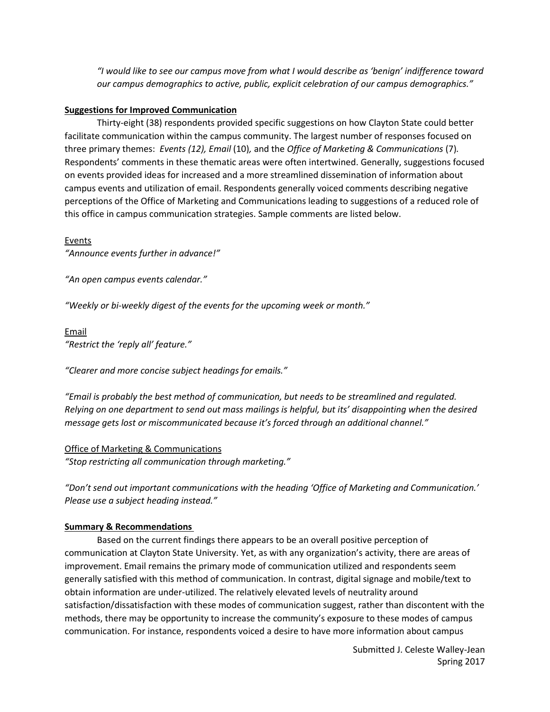*"I would like to see our campus move from what I would describe as 'benign' indifference toward our campus demographics to active, public, explicit celebration of our campus demographics."*

#### **Suggestions for Improved Communication**

Thirty-eight (38) respondents provided specific suggestions on how Clayton State could better facilitate communication within the campus community. The largest number of responses focused on three primary themes: *Events (12), Email* (10)*,* and the *Office of Marketing & Communications* (7)*.*  Respondents' comments in these thematic areas were often intertwined. Generally, suggestions focused on events provided ideas for increased and a more streamlined dissemination of information about campus events and utilization of email. Respondents generally voiced comments describing negative perceptions of the Office of Marketing and Communications leading to suggestions of a reduced role of this office in campus communication strategies. Sample comments are listed below.

Events

*"Announce events further in advance!"*

*"An open campus events calendar."*

*"Weekly or bi-weekly digest of the events for the upcoming week or month."*

# Email *"Restrict the 'reply all' feature."*

*"Clearer and more concise subject headings for emails."*

*"Email is probably the best method of communication, but needs to be streamlined and regulated. Relying on one department to send out mass mailings is helpful, but its' disappointing when the desired message gets lost or miscommunicated because it's forced through an additional channel."*

#### Office of Marketing & Communications

*"Stop restricting all communication through marketing."*

*"Don't send out important communications with the heading 'Office of Marketing and Communication.' Please use a subject heading instead."*

## **Summary & Recommendations**

Based on the current findings there appears to be an overall positive perception of communication at Clayton State University. Yet, as with any organization's activity, there are areas of improvement. Email remains the primary mode of communication utilized and respondents seem generally satisfied with this method of communication. In contrast, digital signage and mobile/text to obtain information are under-utilized. The relatively elevated levels of neutrality around satisfaction/dissatisfaction with these modes of communication suggest, rather than discontent with the methods, there may be opportunity to increase the community's exposure to these modes of campus communication. For instance, respondents voiced a desire to have more information about campus

> Submitted J. Celeste Walley-Jean Spring 2017